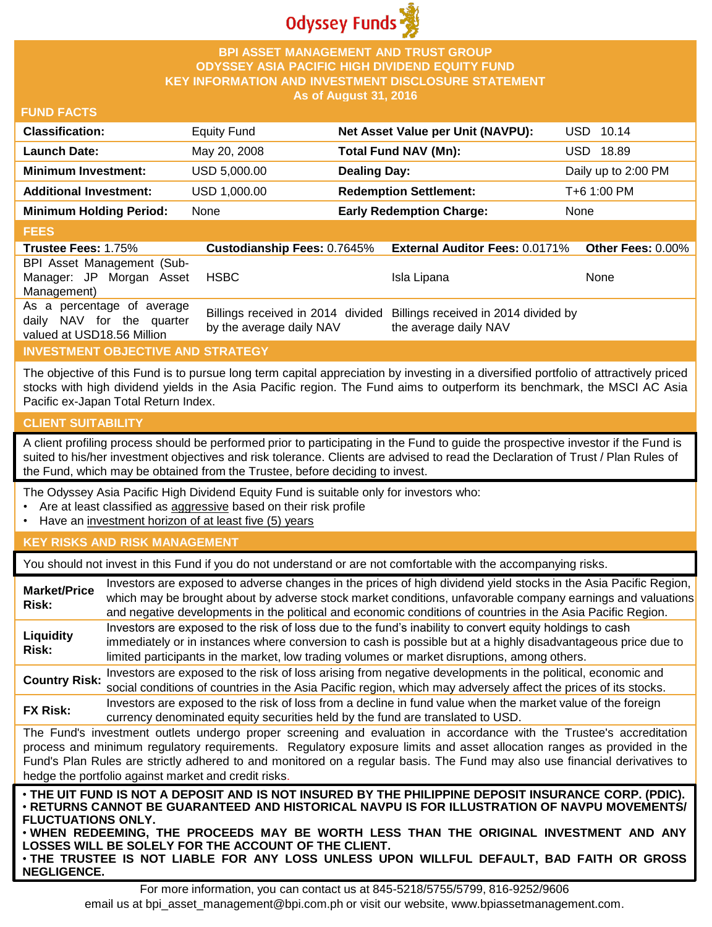

## **BPI ASSET MANAGEMENT AND TRUST GROUP ODYSSEY ASIA PACIFIC HIGH DIVIDEND EQUITY FUND KEY INFORMATION AND INVESTMENT DISCLOSURE STATEMENT As of August 31, 2016**

#### **FUND FACTS**

| <b>Classification:</b>         | <b>Equity Fund</b> | Net Asset Value per Unit (NAVPU): | USD 10.14           |
|--------------------------------|--------------------|-----------------------------------|---------------------|
| <b>Launch Date:</b>            | May 20, 2008       | Total Fund NAV (Mn):              | USD 18.89           |
| <b>Minimum Investment:</b>     | USD 5,000.00       | <b>Dealing Day:</b>               | Daily up to 2:00 PM |
| <b>Additional Investment:</b>  | USD 1,000.00       | <b>Redemption Settlement:</b>     | T+6 1:00 PM         |
| <b>Minimum Holding Period:</b> | None               | <b>Early Redemption Charge:</b>   | None                |

#### **FEES**

| <b>Trustee Fees: 1.75%</b>                                                            | <b>Custodianship Fees: 0.7645%</b> | <b>External Auditor Fees: 0.0171% Other Fees: 0.00%</b>                                         |      |
|---------------------------------------------------------------------------------------|------------------------------------|-------------------------------------------------------------------------------------------------|------|
| BPI Asset Management (Sub-                                                            |                                    |                                                                                                 |      |
| Manager: JP Morgan Asset                                                              | HSBC                               | Isla Lipana                                                                                     | None |
| Management)                                                                           |                                    |                                                                                                 |      |
| As a percentage of average<br>daily NAV for the quarter<br>valued at USD18.56 Million | by the average daily NAV           | Billings received in 2014 divided Billings received in 2014 divided by<br>the average daily NAV |      |

## **INVESTMENT OBJECTIVE AND STRATEGY**

The objective of this Fund is to pursue long term capital appreciation by investing in a diversified portfolio of attractively priced stocks with high dividend yields in the Asia Pacific region. The Fund aims to outperform its benchmark, the MSCI AC Asia Pacific ex-Japan Total Return Index.

#### **CLIENT SUITABILITY**

**NEGLIGENCE.**

A client profiling process should be performed prior to participating in the Fund to guide the prospective investor if the Fund is suited to his/her investment objectives and risk tolerance. Clients are advised to read the Declaration of Trust / Plan Rules of the Fund, which may be obtained from the Trustee, before deciding to invest.

The Odyssey Asia Pacific High Dividend Equity Fund is suitable only for investors who:

- Are at least classified as aggressive based on their risk profile
- Have an investment horizon of at least five (5) years

#### **KEY RISKS AND RISK MANAGEMENT**

You should not invest in this Fund if you do not understand or are not comfortable with the accompanying risks.

| <b>Market/Price</b><br>Risk:                                                                                                                                                                                                                                                                                                                                                                                                         | Investors are exposed to adverse changes in the prices of high dividend yield stocks in the Asia Pacific Region,<br>which may be brought about by adverse stock market conditions, unfavorable company earnings and valuations<br>and negative developments in the political and economic conditions of countries in the Asia Pacific Region. |  |  |  |
|--------------------------------------------------------------------------------------------------------------------------------------------------------------------------------------------------------------------------------------------------------------------------------------------------------------------------------------------------------------------------------------------------------------------------------------|-----------------------------------------------------------------------------------------------------------------------------------------------------------------------------------------------------------------------------------------------------------------------------------------------------------------------------------------------|--|--|--|
| Liquidity<br><b>Risk:</b>                                                                                                                                                                                                                                                                                                                                                                                                            | Investors are exposed to the risk of loss due to the fund's inability to convert equity holdings to cash<br>immediately or in instances where conversion to cash is possible but at a highly disadvantageous price due to<br>limited participants in the market, low trading volumes or market disruptions, among others.                     |  |  |  |
| <b>Country Risk:</b>                                                                                                                                                                                                                                                                                                                                                                                                                 | Investors are exposed to the risk of loss arising from negative developments in the political, economic and<br>social conditions of countries in the Asia Pacific region, which may adversely affect the prices of its stocks.                                                                                                                |  |  |  |
| <b>FX Risk:</b>                                                                                                                                                                                                                                                                                                                                                                                                                      | Investors are exposed to the risk of loss from a decline in fund value when the market value of the foreign<br>currency denominated equity securities held by the fund are translated to USD.                                                                                                                                                 |  |  |  |
| The Fund's investment outlets undergo proper screening and evaluation in accordance with the Trustee's accreditation<br>process and minimum regulatory requirements. Regulatory exposure limits and asset allocation ranges as provided in the<br>Fund's Plan Rules are strictly adhered to and monitored on a regular basis. The Fund may also use financial derivatives to<br>hedge the portfolio against market and credit risks. |                                                                                                                                                                                                                                                                                                                                               |  |  |  |
| . THE UIT FUND IS NOT A DEPOSIT AND IS NOT INSURED BY THE PHILIPPINE DEPOSIT INSURANCE CORP. (PDIC).<br>⋅RETURNS CANNOT BE GUARANTEED AND HISTORICAL NAVPU IS FOR ILLUSTRATION OF NAVPU MOVEMENTS/<br><b>FLUCTUATIONS ONLY.</b><br>. WHEN REDEEMING, THE PROCEEDS MAY BE WORTH LESS THAN THE ORIGINAL INVESTMENT AND ANY<br>LOSSES WILL BE SOLELY FOR THE ACCOUNT OF THE CLIENT.                                                     |                                                                                                                                                                                                                                                                                                                                               |  |  |  |

For more information, you can contact us at 845-5218/5755/5799, 816-9252/9606 email us at bpi\_asset\_management@bpi.com.ph or visit our website, www.bpiassetmanagement.com.

• **THE TRUSTEE IS NOT LIABLE FOR ANY LOSS UNLESS UPON WILLFUL DEFAULT, BAD FAITH OR GROSS**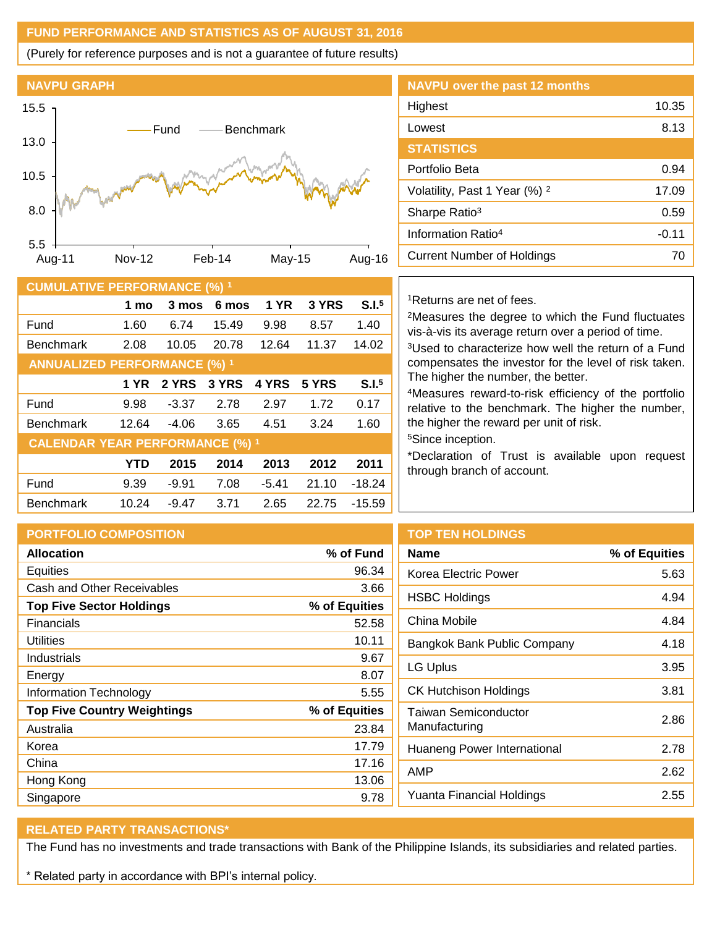# **FUND PERFORMANCE AND STATISTICS AS OF AUGUST 31, 2016**

(Purely for reference purposes and is not a guarantee of future results)



|       |                      |                |        | SIAIISHCS                                |                                                                              |  |  |
|-------|----------------------|----------------|--------|------------------------------------------|------------------------------------------------------------------------------|--|--|
|       |                      |                |        | Portfolio Beta                           |                                                                              |  |  |
|       |                      |                |        | Volatility, Past 1 Year (%) <sup>2</sup> |                                                                              |  |  |
|       |                      |                |        |                                          | Sharpe Ratio <sup>3</sup>                                                    |  |  |
|       |                      |                |        |                                          | Information Ratio <sup>4</sup>                                               |  |  |
| eb-14 |                      | May-15         | Aug-16 |                                          | <b>Current Number of Holdings</b>                                            |  |  |
|       |                      |                |        |                                          |                                                                              |  |  |
|       | $:(\%)$ <sup>1</sup> |                |        |                                          |                                                                              |  |  |
|       | 6 mos                | <b>1 YR</b>    | 3 YRS  | S.I. <sup>5</sup>                        | <sup>1</sup> Returns are net of fees.                                        |  |  |
|       | 15.49                | 9.98           | 8.57   | 1.40                                     | <sup>2</sup> Measures the degree to whic<br>vis-à-vis its average return ove |  |  |
| 20.78 |                      | 11.37<br>12.64 |        | 14.02                                    | <sup>3</sup> Used to characterize how wel                                    |  |  |
|       |                      |                |        |                                          |                                                                              |  |  |

| Lowest                                   | 8.13    |
|------------------------------------------|---------|
| <b>STATISTICS</b>                        |         |
| Portfolio Beta                           | 0.94    |
| Volatility, Past 1 Year (%) <sup>2</sup> | 17.09   |
| Sharpe Ratio <sup>3</sup>                | 0.59    |
| Information Ratio <sup>4</sup>           | $-0.11$ |
| <b>Current Number of Holdings</b>        |         |

Highest 10.35

**NAVPU over the past 12 months**

| <b>CUMULATIVE PERFORMANCE (%) 1</b>    |            |         |       |             |       |                   |
|----------------------------------------|------------|---------|-------|-------------|-------|-------------------|
|                                        | 1 mo       | 3 mos   | 6 mos | <b>1 YR</b> | 3 YRS | S.I. <sup>5</sup> |
| Fund                                   | 1.60       | 6.74    | 15.49 | 9.98        | 8.57  | 1.40              |
| <b>Benchmark</b>                       | 2.08       | 10.05   | 20.78 | 12.64       | 11.37 | 14.02             |
| <b>ANNUALIZED PERFORMANCE (%) 1</b>    |            |         |       |             |       |                   |
|                                        | 1 YR       | 2 YRS   | 3 YRS | 4 YRS       | 5 YRS | S.I. <sup>5</sup> |
| Fund                                   | 9.98       | $-3.37$ | 2.78  | 2.97        | 1.72  | 0.17              |
| <b>Benchmark</b>                       | 12.64      | $-4.06$ | 3.65  | 4.51        | 3.24  | 1.60              |
| <b>CALENDAR YEAR PERFORMANCE (%) 1</b> |            |         |       |             |       |                   |
|                                        | <b>YTD</b> | 2015    | 2014  | 2013        | 2012  | 2011              |
| Fund                                   | 9.39       | $-9.91$ | 7.08  | $-5.41$     | 21.10 | $-18.24$          |
| <b>Benchmark</b>                       | 10.24      | $-9.47$ | 3.71  | 2.65        | 22.75 | $-15.59$          |

th the Fund fluctuates er a period of time.

Il the return of a Fund compensates the investor for the level of risk taken. The higher the number, the better.

<sup>4</sup>Measures reward-to-risk efficiency of the portfolio relative to the benchmark. The higher the number, the higher the reward per unit of risk.

<sup>5</sup>Since inception.

\*Declaration of Trust is available upon request through branch of account.

| <b>PORTFOLIO COMPOSITION</b>       |               | <b>TOP TEN HOLDINGS</b>          |               |
|------------------------------------|---------------|----------------------------------|---------------|
| <b>Allocation</b>                  | % of Fund     | <b>Name</b>                      | % of Equities |
| Equities                           | 96.34         | Korea Electric Power             | 5.63          |
| Cash and Other Receivables         | 3.66          | <b>HSBC Holdings</b>             |               |
| <b>Top Five Sector Holdings</b>    | % of Equities |                                  | 4.94          |
| <b>Financials</b>                  | 52.58         | China Mobile                     | 4.84          |
| <b>Utilities</b>                   | 10.11         | Bangkok Bank Public Company      | 4.18          |
| Industrials                        | 9.67          | <b>LG Uplus</b>                  | 3.95          |
| Energy                             | 8.07          |                                  |               |
| <b>Information Technology</b>      | 5.55          | <b>CK Hutchison Holdings</b>     | 3.81          |
| <b>Top Five Country Weightings</b> | % of Equities | <b>Taiwan Semiconductor</b>      | 2.86          |
| Australia                          | 23.84         | Manufacturing                    |               |
| Korea                              | 17.79         | Huaneng Power International      | 2.78          |
| China                              | 17.16         | AMP                              | 2.62          |
| Hong Kong                          | 13.06         |                                  |               |
| Singapore                          | 9.78          | <b>Yuanta Financial Holdings</b> | 2.55          |

## **RELATED PARTY TRANSACTIONS\***

The Fund has no investments and trade transactions with Bank of the Philippine Islands, its subsidiaries and related parties.

\* Related party in accordance with BPI's internal policy.

# Korea Electric Power 5.63 HSBC Holdings and a 4.94